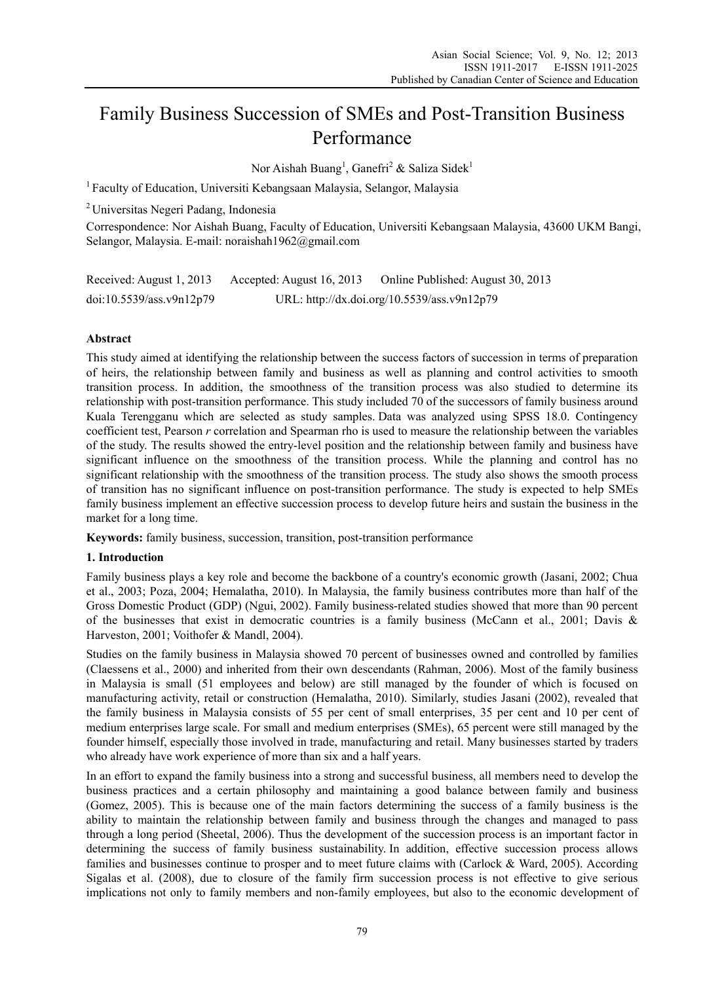# Family Business Succession of SMEs and Post-Transition Business Performance

Nor Aishah Buang<sup>1</sup>, Ganefri<sup>2</sup> & Saliza Sidek<sup>1</sup>

<sup>1</sup> Faculty of Education, Universiti Kebangsaan Malaysia, Selangor, Malaysia

2 Universitas Negeri Padang, Indonesia

Correspondence: Nor Aishah Buang, Faculty of Education, Universiti Kebangsaan Malaysia, 43600 UKM Bangi, Selangor, Malaysia. E-mail: noraishah1962@gmail.com

| Received: August 1, 2013 | Accepted: August 16, 2013 | Online Published: August 30, 2013           |
|--------------------------|---------------------------|---------------------------------------------|
| doi:10.5539/ass.v9n12p79 |                           | URL: http://dx.doi.org/10.5539/ass.v9n12p79 |

## **Abstract**

This study aimed at identifying the relationship between the success factors of succession in terms of preparation of heirs, the relationship between family and business as well as planning and control activities to smooth transition process. In addition, the smoothness of the transition process was also studied to determine its relationship with post-transition performance. This study included 70 of the successors of family business around Kuala Terengganu which are selected as study samples. Data was analyzed using SPSS 18.0. Contingency coefficient test, Pearson *r* correlation and Spearman rho is used to measure the relationship between the variables of the study. The results showed the entry-level position and the relationship between family and business have significant influence on the smoothness of the transition process. While the planning and control has no significant relationship with the smoothness of the transition process. The study also shows the smooth process of transition has no significant influence on post-transition performance. The study is expected to help SMEs family business implement an effective succession process to develop future heirs and sustain the business in the market for a long time.

**Keywords:** family business, succession, transition, post-transition performance

## **1. Introduction**

Family business plays a key role and become the backbone of a country's economic growth (Jasani, 2002; Chua et al., 2003; Poza, 2004; Hemalatha, 2010). In Malaysia, the family business contributes more than half of the Gross Domestic Product (GDP) (Ngui, 2002). Family business-related studies showed that more than 90 percent of the businesses that exist in democratic countries is a family business (McCann et al., 2001; Davis & Harveston, 2001; Voithofer & Mandl, 2004).

Studies on the family business in Malaysia showed 70 percent of businesses owned and controlled by families (Claessens et al., 2000) and inherited from their own descendants (Rahman, 2006). Most of the family business in Malaysia is small (51 employees and below) are still managed by the founder of which is focused on manufacturing activity, retail or construction (Hemalatha, 2010). Similarly, studies Jasani (2002), revealed that the family business in Malaysia consists of 55 per cent of small enterprises, 35 per cent and 10 per cent of medium enterprises large scale. For small and medium enterprises (SMEs), 65 percent were still managed by the founder himself, especially those involved in trade, manufacturing and retail. Many businesses started by traders who already have work experience of more than six and a half years.

In an effort to expand the family business into a strong and successful business, all members need to develop the business practices and a certain philosophy and maintaining a good balance between family and business (Gomez, 2005). This is because one of the main factors determining the success of a family business is the ability to maintain the relationship between family and business through the changes and managed to pass through a long period (Sheetal, 2006). Thus the development of the succession process is an important factor in determining the success of family business sustainability. In addition, effective succession process allows families and businesses continue to prosper and to meet future claims with (Carlock & Ward, 2005). According Sigalas et al. (2008), due to closure of the family firm succession process is not effective to give serious implications not only to family members and non-family employees, but also to the economic development of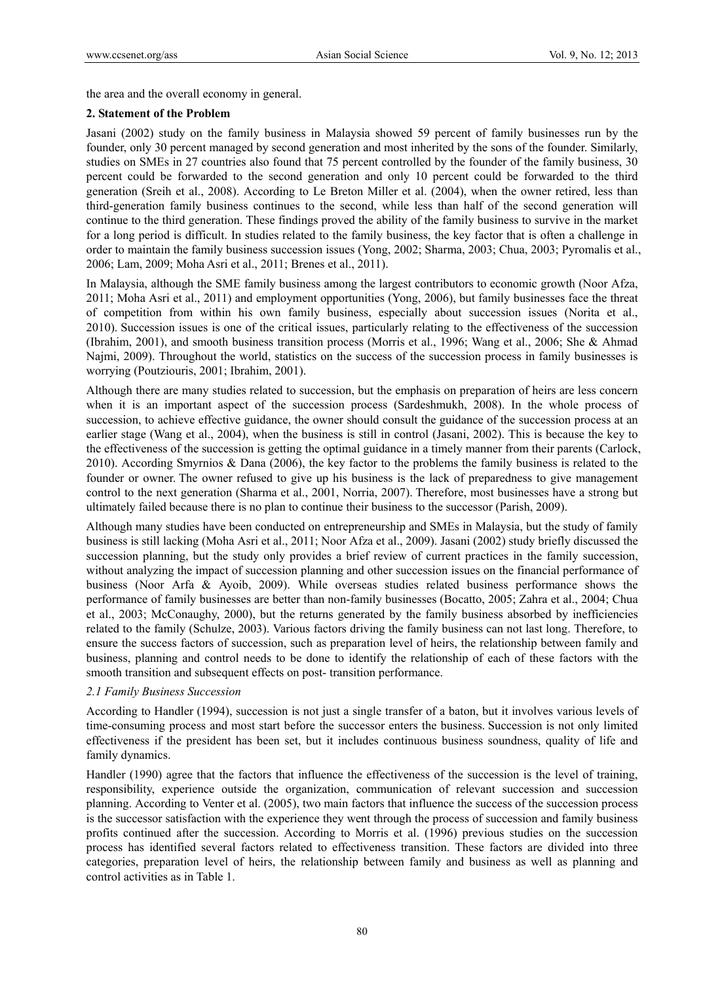the area and the overall economy in general.

#### **2. Statement of the Problem**

Jasani (2002) study on the family business in Malaysia showed 59 percent of family businesses run by the founder, only 30 percent managed by second generation and most inherited by the sons of the founder. Similarly, studies on SMEs in 27 countries also found that 75 percent controlled by the founder of the family business, 30 percent could be forwarded to the second generation and only 10 percent could be forwarded to the third generation (Sreih et al., 2008). According to Le Breton Miller et al. (2004), when the owner retired, less than third-generation family business continues to the second, while less than half of the second generation will continue to the third generation. These findings proved the ability of the family business to survive in the market for a long period is difficult. In studies related to the family business, the key factor that is often a challenge in order to maintain the family business succession issues (Yong, 2002; Sharma, 2003; Chua, 2003; Pyromalis et al., 2006; Lam, 2009; Moha Asri et al., 2011; Brenes et al., 2011).

In Malaysia, although the SME family business among the largest contributors to economic growth (Noor Afza, 2011; Moha Asri et al., 2011) and employment opportunities (Yong, 2006), but family businesses face the threat of competition from within his own family business, especially about succession issues (Norita et al., 2010). Succession issues is one of the critical issues, particularly relating to the effectiveness of the succession (Ibrahim, 2001), and smooth business transition process (Morris et al., 1996; Wang et al., 2006; She & Ahmad Najmi, 2009). Throughout the world, statistics on the success of the succession process in family businesses is worrying (Poutziouris, 2001; Ibrahim, 2001).

Although there are many studies related to succession, but the emphasis on preparation of heirs are less concern when it is an important aspect of the succession process (Sardeshmukh, 2008). In the whole process of succession, to achieve effective guidance, the owner should consult the guidance of the succession process at an earlier stage (Wang et al., 2004), when the business is still in control (Jasani, 2002). This is because the key to the effectiveness of the succession is getting the optimal guidance in a timely manner from their parents (Carlock, 2010). According Smyrnios & Dana (2006), the key factor to the problems the family business is related to the founder or owner. The owner refused to give up his business is the lack of preparedness to give management control to the next generation (Sharma et al., 2001, Norria, 2007). Therefore, most businesses have a strong but ultimately failed because there is no plan to continue their business to the successor (Parish, 2009).

Although many studies have been conducted on entrepreneurship and SMEs in Malaysia, but the study of family business is still lacking (Moha Asri et al., 2011; Noor Afza et al., 2009). Jasani (2002) study briefly discussed the succession planning, but the study only provides a brief review of current practices in the family succession, without analyzing the impact of succession planning and other succession issues on the financial performance of business (Noor Arfa & Ayoib, 2009). While overseas studies related business performance shows the performance of family businesses are better than non-family businesses (Bocatto, 2005; Zahra et al., 2004; Chua et al., 2003; McConaughy, 2000), but the returns generated by the family business absorbed by inefficiencies related to the family (Schulze, 2003). Various factors driving the family business can not last long. Therefore, to ensure the success factors of succession, such as preparation level of heirs, the relationship between family and business, planning and control needs to be done to identify the relationship of each of these factors with the smooth transition and subsequent effects on post- transition performance.

## *2.1 Family Business Succession*

According to Handler (1994), succession is not just a single transfer of a baton, but it involves various levels of time-consuming process and most start before the successor enters the business. Succession is not only limited effectiveness if the president has been set, but it includes continuous business soundness, quality of life and family dynamics.

Handler (1990) agree that the factors that influence the effectiveness of the succession is the level of training, responsibility, experience outside the organization, communication of relevant succession and succession planning. According to Venter et al. (2005), two main factors that influence the success of the succession process is the successor satisfaction with the experience they went through the process of succession and family business profits continued after the succession. According to Morris et al. (1996) previous studies on the succession process has identified several factors related to effectiveness transition. These factors are divided into three categories, preparation level of heirs, the relationship between family and business as well as planning and control activities as in Table 1.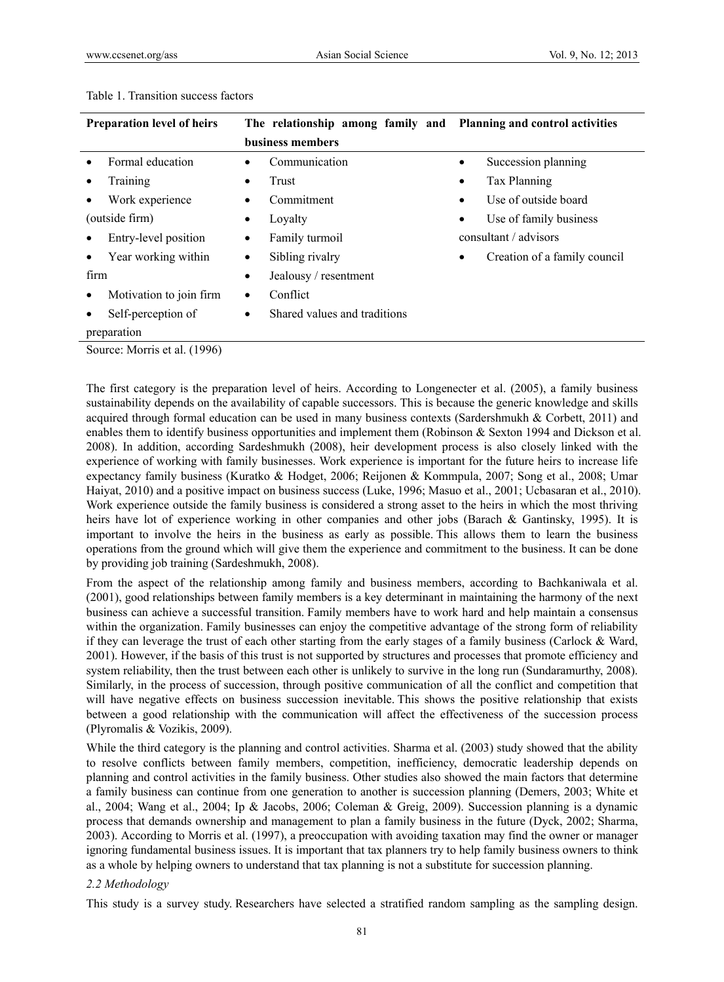| <b>Preparation level of heirs</b> | The relationship among family and Planning and control activities |                                           |
|-----------------------------------|-------------------------------------------------------------------|-------------------------------------------|
|                                   | business members                                                  |                                           |
| Formal education                  | Communication<br>٠                                                | Succession planning<br>$\bullet$          |
| Training                          | Trust<br>٠                                                        | Tax Planning<br>$\bullet$                 |
| Work experience                   | Commitment<br>٠                                                   | Use of outside board<br>$\bullet$         |
| (outside firm)                    | Loyalty<br>٠                                                      | Use of family business<br>$\bullet$       |
| Entry-level position              | Family turmoil<br>٠                                               | consultant / advisors                     |
| Year working within               | Sibling rivalry<br>$\bullet$                                      | Creation of a family council<br>$\bullet$ |
| firm                              | Jealousy / resentment<br>$\bullet$                                |                                           |
| Motivation to join firm<br>٠      | Conflict<br>$\bullet$                                             |                                           |
| Self-perception of                | Shared values and traditions<br>$\bullet$                         |                                           |
| preparation                       |                                                                   |                                           |

#### Table 1. Transition success factors

Source: Morris et al. (1996)

The first category is the preparation level of heirs. According to Longenecter et al. (2005), a family business sustainability depends on the availability of capable successors. This is because the generic knowledge and skills acquired through formal education can be used in many business contexts (Sardershmukh  $\&$  Corbett, 2011) and enables them to identify business opportunities and implement them (Robinson & Sexton 1994 and Dickson et al. 2008). In addition, according Sardeshmukh (2008), heir development process is also closely linked with the experience of working with family businesses. Work experience is important for the future heirs to increase life expectancy family business (Kuratko & Hodget, 2006; Reijonen & Kommpula, 2007; Song et al., 2008; Umar Haiyat, 2010) and a positive impact on business success (Luke, 1996; Masuo et al., 2001; Ucbasaran et al., 2010). Work experience outside the family business is considered a strong asset to the heirs in which the most thriving heirs have lot of experience working in other companies and other jobs (Barach & Gantinsky, 1995). It is important to involve the heirs in the business as early as possible. This allows them to learn the business operations from the ground which will give them the experience and commitment to the business. It can be done by providing job training (Sardeshmukh, 2008).

From the aspect of the relationship among family and business members, according to Bachkaniwala et al. (2001), good relationships between family members is a key determinant in maintaining the harmony of the next business can achieve a successful transition. Family members have to work hard and help maintain a consensus within the organization. Family businesses can enjoy the competitive advantage of the strong form of reliability if they can leverage the trust of each other starting from the early stages of a family business (Carlock & Ward, 2001). However, if the basis of this trust is not supported by structures and processes that promote efficiency and system reliability, then the trust between each other is unlikely to survive in the long run (Sundaramurthy, 2008). Similarly, in the process of succession, through positive communication of all the conflict and competition that will have negative effects on business succession inevitable. This shows the positive relationship that exists between a good relationship with the communication will affect the effectiveness of the succession process (Plyromalis & Vozikis, 2009).

While the third category is the planning and control activities. Sharma et al. (2003) study showed that the ability to resolve conflicts between family members, competition, inefficiency, democratic leadership depends on planning and control activities in the family business. Other studies also showed the main factors that determine a family business can continue from one generation to another is succession planning (Demers, 2003; White et al., 2004; Wang et al., 2004; Ip & Jacobs, 2006; Coleman & Greig, 2009). Succession planning is a dynamic process that demands ownership and management to plan a family business in the future (Dyck, 2002; Sharma, 2003). According to Morris et al. (1997), a preoccupation with avoiding taxation may find the owner or manager ignoring fundamental business issues. It is important that tax planners try to help family business owners to think as a whole by helping owners to understand that tax planning is not a substitute for succession planning.

## *2.2 Methodology*

This study is a survey study. Researchers have selected a stratified random sampling as the sampling design.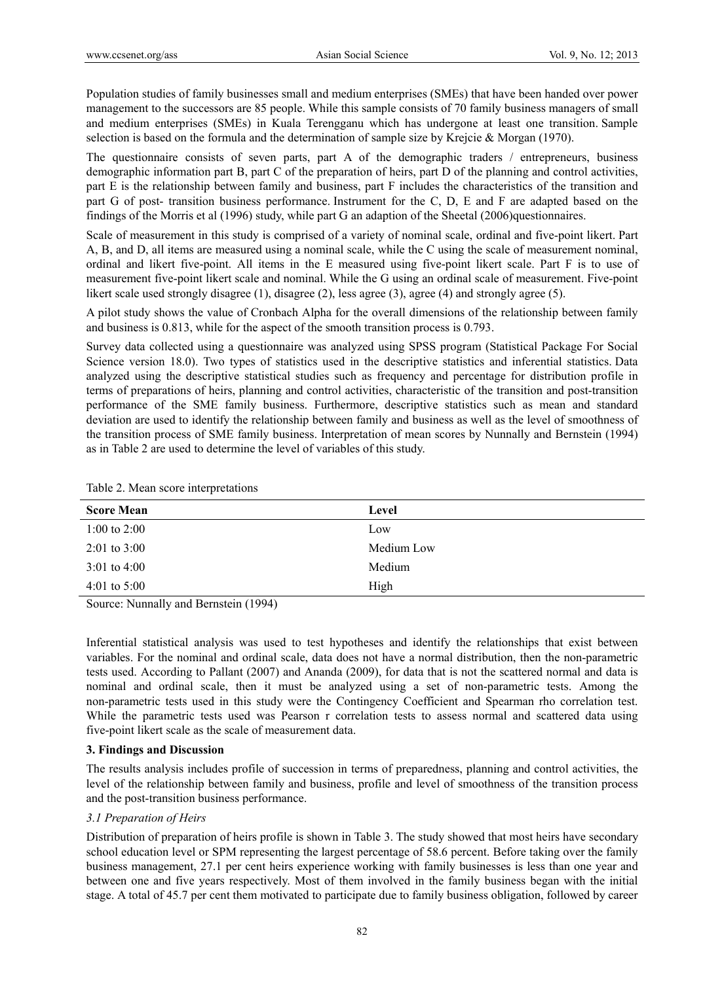Population studies of family businesses small and medium enterprises (SMEs) that have been handed over power management to the successors are 85 people. While this sample consists of 70 family business managers of small and medium enterprises (SMEs) in Kuala Terengganu which has undergone at least one transition. Sample selection is based on the formula and the determination of sample size by Krejcie & Morgan (1970).

The questionnaire consists of seven parts, part A of the demographic traders / entrepreneurs, business demographic information part B, part C of the preparation of heirs, part D of the planning and control activities, part E is the relationship between family and business, part F includes the characteristics of the transition and part G of post- transition business performance. Instrument for the C, D, E and F are adapted based on the findings of the Morris et al (1996) study, while part G an adaption of the Sheetal (2006)questionnaires.

Scale of measurement in this study is comprised of a variety of nominal scale, ordinal and five-point likert. Part A, B, and D, all items are measured using a nominal scale, while the C using the scale of measurement nominal, ordinal and likert five-point. All items in the E measured using five-point likert scale. Part F is to use of measurement five-point likert scale and nominal. While the G using an ordinal scale of measurement. Five-point likert scale used strongly disagree (1), disagree (2), less agree (3), agree (4) and strongly agree (5).

A pilot study shows the value of Cronbach Alpha for the overall dimensions of the relationship between family and business is 0.813, while for the aspect of the smooth transition process is 0.793.

Survey data collected using a questionnaire was analyzed using SPSS program (Statistical Package For Social Science version 18.0). Two types of statistics used in the descriptive statistics and inferential statistics. Data analyzed using the descriptive statistical studies such as frequency and percentage for distribution profile in terms of preparations of heirs, planning and control activities, characteristic of the transition and post-transition performance of the SME family business. Furthermore, descriptive statistics such as mean and standard deviation are used to identify the relationship between family and business as well as the level of smoothness of the transition process of SME family business. Interpretation of mean scores by Nunnally and Bernstein (1994) as in Table 2 are used to determine the level of variables of this study.

| <b>Score Mean</b>      | Level      |
|------------------------|------------|
| 1:00 to 2:00           | Low        |
| $2:01$ to $3:00$       | Medium Low |
| $3:01$ to $4:00$       | Medium     |
| 4:01 to 5:00           | High       |
| $S_{\text{our}}(1004)$ |            |

Table 2. Mean score interpretations

Source: Nunnally and Bernstein (1994)

Inferential statistical analysis was used to test hypotheses and identify the relationships that exist between variables. For the nominal and ordinal scale, data does not have a normal distribution, then the non-parametric tests used. According to Pallant (2007) and Ananda (2009), for data that is not the scattered normal and data is nominal and ordinal scale, then it must be analyzed using a set of non-parametric tests. Among the non-parametric tests used in this study were the Contingency Coefficient and Spearman rho correlation test. While the parametric tests used was Pearson r correlation tests to assess normal and scattered data using five-point likert scale as the scale of measurement data.

## **3. Findings and Discussion**

The results analysis includes profile of succession in terms of preparedness, planning and control activities, the level of the relationship between family and business, profile and level of smoothness of the transition process and the post-transition business performance.

# *3.1 Preparation of Heirs*

Distribution of preparation of heirs profile is shown in Table 3. The study showed that most heirs have secondary school education level or SPM representing the largest percentage of 58.6 percent. Before taking over the family business management, 27.1 per cent heirs experience working with family businesses is less than one year and between one and five years respectively. Most of them involved in the family business began with the initial stage. A total of 45.7 per cent them motivated to participate due to family business obligation, followed by career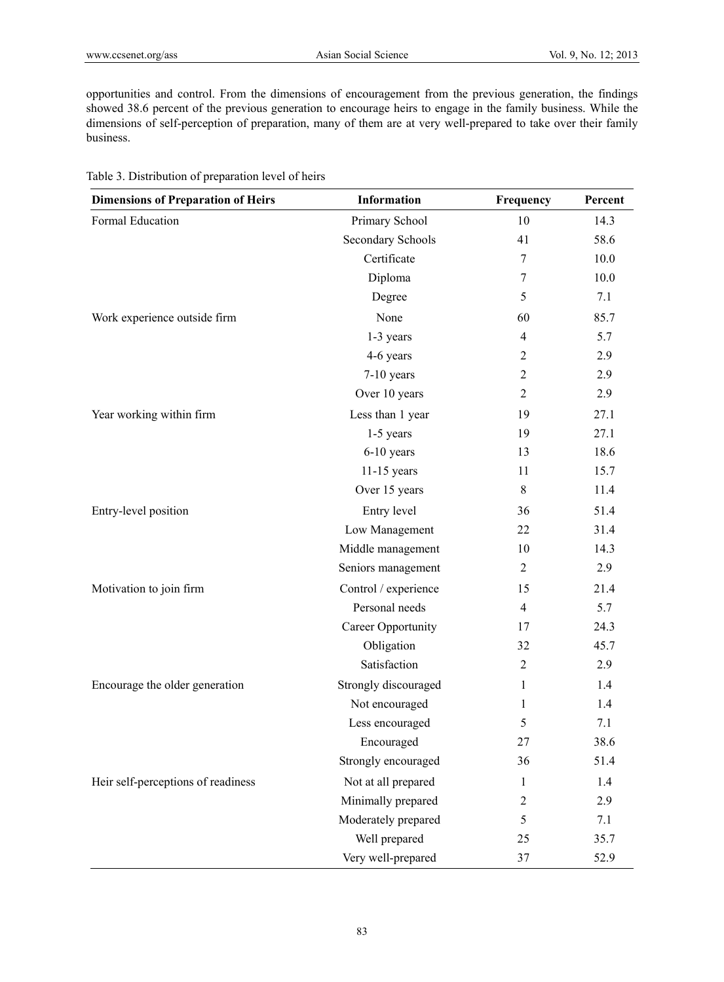opportunities and control. From the dimensions of encouragement from the previous generation, the findings showed 38.6 percent of the previous generation to encourage heirs to engage in the family business. While the dimensions of self-perception of preparation, many of them are at very well-prepared to take over their family business.

| <b>Dimensions of Preparation of Heirs</b> | <b>Information</b>   | Frequency      | Percent |
|-------------------------------------------|----------------------|----------------|---------|
| Formal Education                          | Primary School       | 10             | 14.3    |
|                                           | Secondary Schools    | 41             | 58.6    |
|                                           | Certificate          | 7              | 10.0    |
|                                           | Diploma              | 7              | 10.0    |
|                                           | Degree               | 5              | 7.1     |
| Work experience outside firm              | None                 | 60             | 85.7    |
|                                           | 1-3 years            | $\overline{4}$ | 5.7     |
|                                           | 4-6 years            | $\overline{2}$ | 2.9     |
|                                           | 7-10 years           | $\overline{2}$ | 2.9     |
|                                           | Over 10 years        | $\overline{2}$ | 2.9     |
| Year working within firm                  | Less than 1 year     | 19             | 27.1    |
|                                           | $1-5$ years          | 19             | 27.1    |
|                                           | $6-10$ years         | 13             | 18.6    |
|                                           | $11-15$ years        | 11             | 15.7    |
|                                           | Over 15 years        | 8              | 11.4    |
| Entry-level position                      | Entry level          | 36             | 51.4    |
|                                           | Low Management       | 22             | 31.4    |
|                                           | Middle management    | 10             | 14.3    |
|                                           | Seniors management   | 2              | 2.9     |
| Motivation to join firm                   | Control / experience | 15             | 21.4    |
|                                           | Personal needs       | $\overline{4}$ | 5.7     |
|                                           | Career Opportunity   | 17             | 24.3    |
|                                           | Obligation           | 32             | 45.7    |
|                                           | Satisfaction         | 2              | 2.9     |
| Encourage the older generation            | Strongly discouraged | 1              | 1.4     |
|                                           | Not encouraged       | 1              | 1.4     |
|                                           | Less encouraged      | 5              | 7.1     |
|                                           | Encouraged           | 27             | 38.6    |
|                                           | Strongly encouraged  | 36             | 51.4    |
| Heir self-perceptions of readiness        | Not at all prepared  | 1              | 1.4     |
|                                           | Minimally prepared   | $\overline{c}$ | 2.9     |
|                                           | Moderately prepared  | 5              | 7.1     |
|                                           | Well prepared        | 25             | 35.7    |
|                                           | Very well-prepared   | 37             | 52.9    |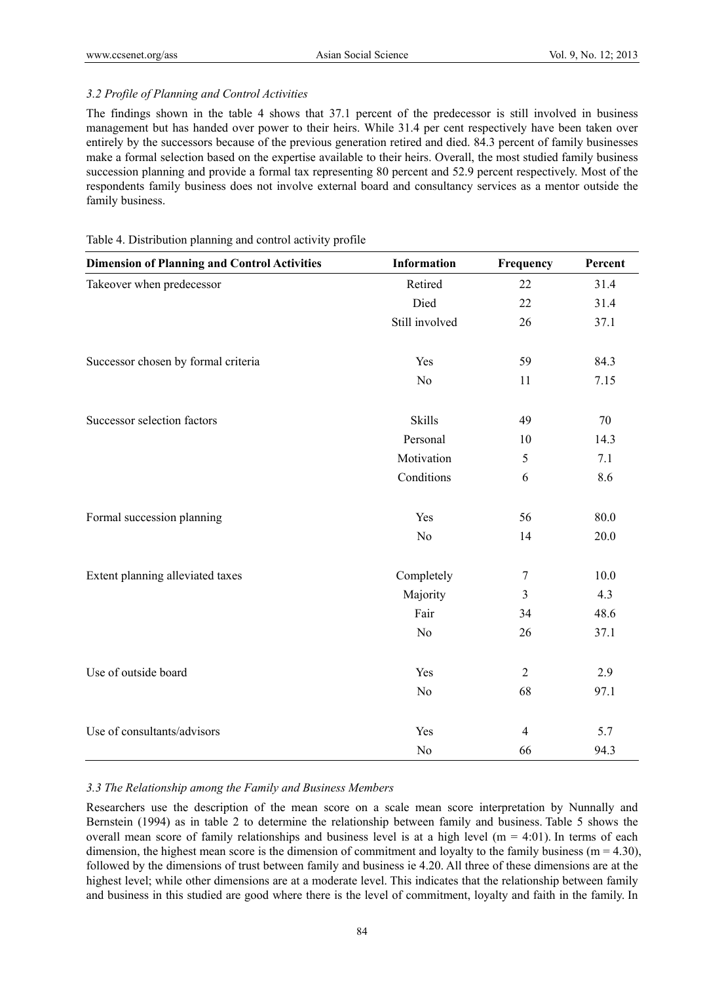## *3.2 Profile of Planning and Control Activities*

The findings shown in the table 4 shows that 37.1 percent of the predecessor is still involved in business management but has handed over power to their heirs. While 31.4 per cent respectively have been taken over entirely by the successors because of the previous generation retired and died. 84.3 percent of family businesses make a formal selection based on the expertise available to their heirs. Overall, the most studied family business succession planning and provide a formal tax representing 80 percent and 52.9 percent respectively. Most of the respondents family business does not involve external board and consultancy services as a mentor outside the family business.

| <b>Dimension of Planning and Control Activities</b> | <b>Information</b> | Frequency        | Percent |
|-----------------------------------------------------|--------------------|------------------|---------|
| Takeover when predecessor                           | Retired            | 22               | 31.4    |
|                                                     | Died               | 22               | 31.4    |
|                                                     | Still involved     | 26               | 37.1    |
| Successor chosen by formal criteria                 | Yes                | 59               | 84.3    |
|                                                     | N <sub>o</sub>     | 11               | 7.15    |
| Successor selection factors                         | Skills             | 49               | 70      |
|                                                     | Personal           | 10               | 14.3    |
|                                                     | Motivation         | 5                | 7.1     |
|                                                     | Conditions         | 6                | 8.6     |
| Formal succession planning                          | Yes                | 56               | 80.0    |
|                                                     | N <sub>o</sub>     | 14               | 20.0    |
| Extent planning alleviated taxes                    | Completely         | $\boldsymbol{7}$ | 10.0    |
|                                                     | Majority           | $\mathfrak{Z}$   | 4.3     |
|                                                     | Fair               | 34               | 48.6    |
|                                                     | N <sub>o</sub>     | 26               | 37.1    |
| Use of outside board                                | Yes                | $\sqrt{2}$       | 2.9     |
|                                                     | N <sub>o</sub>     | 68               | 97.1    |
| Use of consultants/advisors                         | Yes                | $\overline{4}$   | 5.7     |
|                                                     | N <sub>0</sub>     | 66               | 94.3    |

## Table 4. Distribution planning and control activity profile

## *3.3 The Relationship among the Family and Business Members*

Researchers use the description of the mean score on a scale mean score interpretation by Nunnally and Bernstein (1994) as in table 2 to determine the relationship between family and business. Table 5 shows the overall mean score of family relationships and business level is at a high level ( $m = 4:01$ ). In terms of each dimension, the highest mean score is the dimension of commitment and loyalty to the family business ( $m = 4.30$ ), followed by the dimensions of trust between family and business ie 4.20. All three of these dimensions are at the highest level; while other dimensions are at a moderate level. This indicates that the relationship between family and business in this studied are good where there is the level of commitment, loyalty and faith in the family. In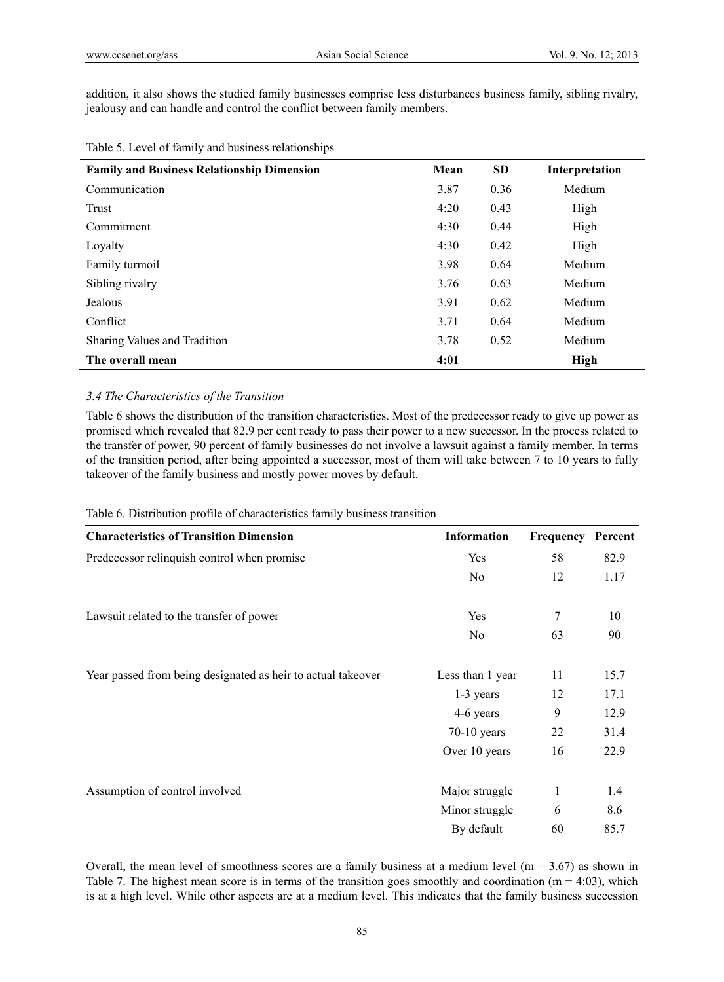addition, it also shows the studied family businesses comprise less disturbances business family, sibling rivalry, jealousy and can handle and control the conflict between family members.

| <b>Family and Business Relationship Dimension</b> | Mean | <b>SD</b> | Interpretation |
|---------------------------------------------------|------|-----------|----------------|
| Communication                                     | 3.87 | 0.36      | Medium         |
| Trust                                             | 4:20 | 0.43      | High           |
| Commitment                                        | 4:30 | 0.44      | High           |
| Loyalty                                           | 4:30 | 0.42      | High           |
| Family turmoil                                    | 3.98 | 0.64      | Medium         |
| Sibling rivalry                                   | 3.76 | 0.63      | Medium         |
| Jealous                                           | 3.91 | 0.62      | Medium         |
| Conflict                                          | 3.71 | 0.64      | Medium         |
| Sharing Values and Tradition                      | 3.78 | 0.52      | Medium         |
| The overall mean                                  | 4:01 |           | High           |

## Table 5. Level of family and business relationships

## *3.4 The Characteristics of the Transition*

Table 6 shows the distribution of the transition characteristics. Most of the predecessor ready to give up power as promised which revealed that 82.9 per cent ready to pass their power to a new successor. In the process related to the transfer of power, 90 percent of family businesses do not involve a lawsuit against a family member. In terms of the transition period, after being appointed a successor, most of them will take between 7 to 10 years to fully takeover of the family business and mostly power moves by default.

Table 6. Distribution profile of characteristics family business transition

| <b>Characteristics of Transition Dimension</b>               | <b>Information</b> | Frequency | Percent |
|--------------------------------------------------------------|--------------------|-----------|---------|
| Predecessor relinquish control when promise                  | Yes                | 58        | 82.9    |
|                                                              | N <sub>0</sub>     | 12        | 1.17    |
| Lawsuit related to the transfer of power                     | Yes                | 7         | 10      |
|                                                              | N <sub>0</sub>     | 63        | 90      |
| Year passed from being designated as heir to actual takeover | Less than 1 year   | 11        | 15.7    |
|                                                              | 1-3 years          | 12        | 17.1    |
|                                                              | 4-6 years          | 9         | 12.9    |
|                                                              | $70-10$ years      | 22        | 31.4    |
|                                                              | Over 10 years      | 16        | 22.9    |
| Assumption of control involved                               | Major struggle     | 1         | 1.4     |
|                                                              | Minor struggle     | 6         | 8.6     |
|                                                              | By default         | 60        | 85.7    |

Overall, the mean level of smoothness scores are a family business at a medium level ( $m = 3.67$ ) as shown in Table 7. The highest mean score is in terms of the transition goes smoothly and coordination ( $m = 4:03$ ), which is at a high level. While other aspects are at a medium level. This indicates that the family business succession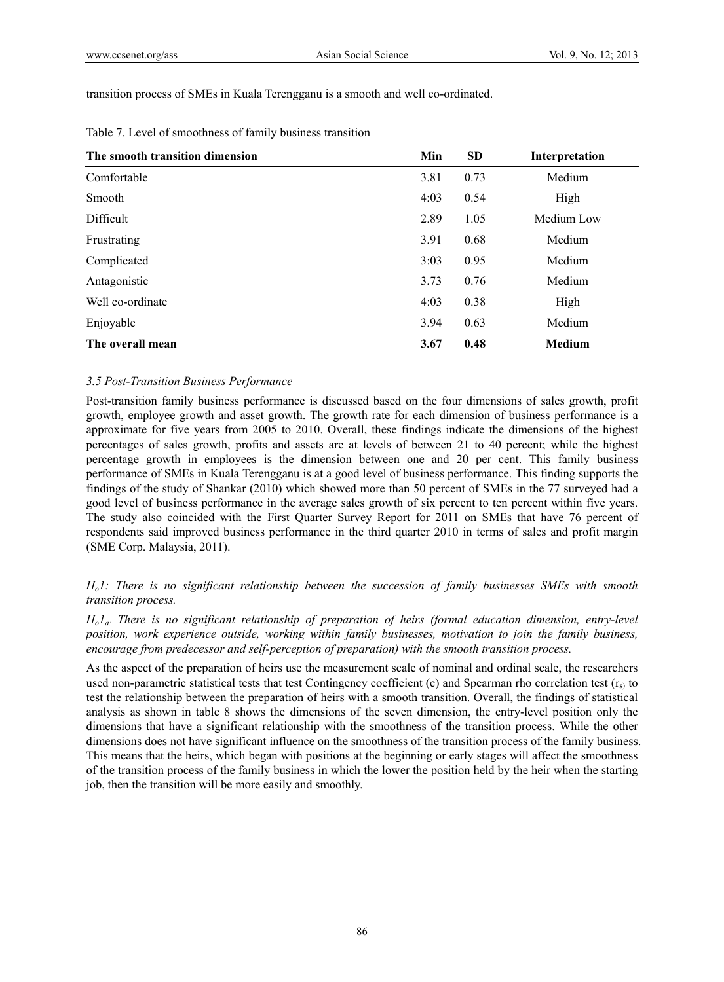transition process of SMEs in Kuala Terengganu is a smooth and well co-ordinated.

| The smooth transition dimension | Min  | <b>SD</b> | Interpretation |
|---------------------------------|------|-----------|----------------|
| Comfortable                     | 3.81 | 0.73      | Medium         |
| Smooth                          | 4:03 | 0.54      | High           |
| Difficult                       | 2.89 | 1.05      | Medium Low     |
| Frustrating                     | 3.91 | 0.68      | Medium         |
| Complicated                     | 3:03 | 0.95      | Medium         |
| Antagonistic                    | 3.73 | 0.76      | Medium         |
| Well co-ordinate                | 4:03 | 0.38      | High           |
| Enjoyable                       | 3.94 | 0.63      | Medium         |
| The overall mean                | 3.67 | 0.48      | <b>Medium</b>  |

| Table 7. Level of smoothness of family business transition |  |  |  |
|------------------------------------------------------------|--|--|--|
|------------------------------------------------------------|--|--|--|

## *3.5 Post-Transition Business Performance*

Post-transition family business performance is discussed based on the four dimensions of sales growth, profit growth, employee growth and asset growth. The growth rate for each dimension of business performance is a approximate for five years from 2005 to 2010. Overall, these findings indicate the dimensions of the highest percentages of sales growth, profits and assets are at levels of between 21 to 40 percent; while the highest percentage growth in employees is the dimension between one and 20 per cent. This family business performance of SMEs in Kuala Terengganu is at a good level of business performance. This finding supports the findings of the study of Shankar (2010) which showed more than 50 percent of SMEs in the 77 surveyed had a good level of business performance in the average sales growth of six percent to ten percent within five years. The study also coincided with the First Quarter Survey Report for 2011 on SMEs that have 76 percent of respondents said improved business performance in the third quarter 2010 in terms of sales and profit margin (SME Corp. Malaysia, 2011).

*Ho1: There is no significant relationship between the succession of family businesses SMEs with smooth transition process.* 

*Ho1a: There is no significant relationship of preparation of heirs (formal education dimension, entry-level position, work experience outside, working within family businesses, motivation to join the family business, encourage from predecessor and self-perception of preparation) with the smooth transition process.* 

As the aspect of the preparation of heirs use the measurement scale of nominal and ordinal scale, the researchers used non-parametric statistical tests that test Contingency coefficient (c) and Spearman rho correlation test  $(r<sub>s</sub>)$  to test the relationship between the preparation of heirs with a smooth transition. Overall, the findings of statistical analysis as shown in table 8 shows the dimensions of the seven dimension, the entry-level position only the dimensions that have a significant relationship with the smoothness of the transition process. While the other dimensions does not have significant influence on the smoothness of the transition process of the family business. This means that the heirs, which began with positions at the beginning or early stages will affect the smoothness of the transition process of the family business in which the lower the position held by the heir when the starting job, then the transition will be more easily and smoothly.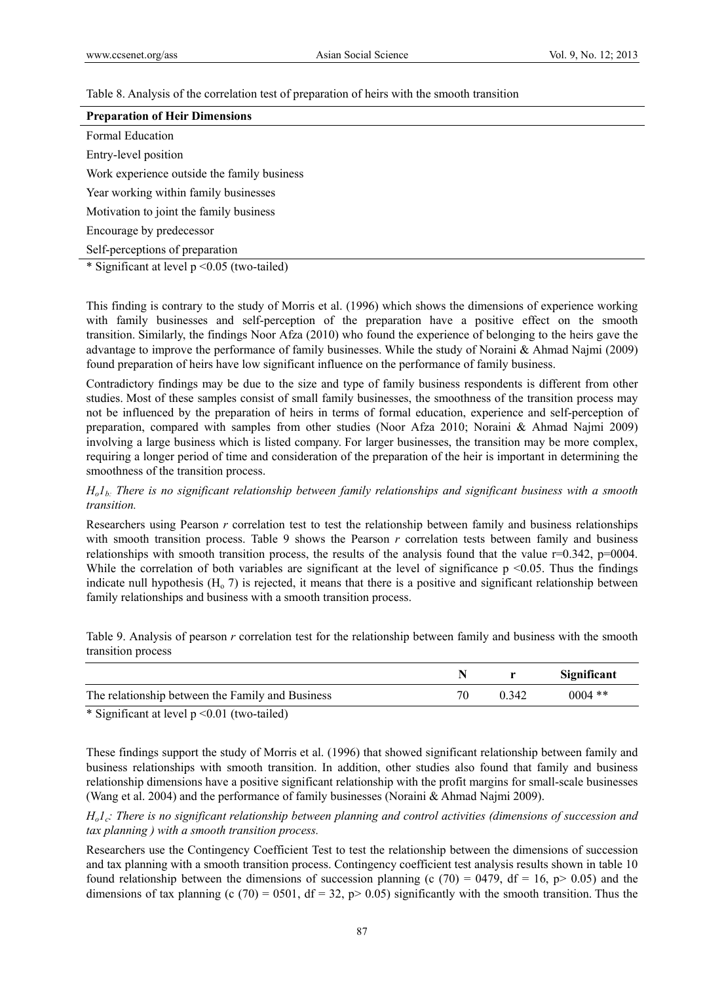Table 8. Analysis of the correlation test of preparation of heirs with the smooth transition

| <b>Preparation of Heir Dimensions</b>                             |
|-------------------------------------------------------------------|
| Formal Education                                                  |
| Entry-level position                                              |
| Work experience outside the family business                       |
| Year working within family businesses                             |
| Motivation to joint the family business                           |
| Encourage by predecessor                                          |
| Self-perceptions of preparation                                   |
| $A \cap T$ $A \cap T$ $A \cap T$ $A \cap T$ $A \cap T$ $A \cap T$ |

\* Significant at level  $p$  <0.05 (two-tailed)

This finding is contrary to the study of Morris et al. (1996) which shows the dimensions of experience working with family businesses and self-perception of the preparation have a positive effect on the smooth transition. Similarly, the findings Noor Afza (2010) who found the experience of belonging to the heirs gave the advantage to improve the performance of family businesses. While the study of Noraini & Ahmad Najmi (2009) found preparation of heirs have low significant influence on the performance of family business.

Contradictory findings may be due to the size and type of family business respondents is different from other studies. Most of these samples consist of small family businesses, the smoothness of the transition process may not be influenced by the preparation of heirs in terms of formal education, experience and self-perception of preparation, compared with samples from other studies (Noor Afza 2010; Noraini & Ahmad Najmi 2009) involving a large business which is listed company. For larger businesses, the transition may be more complex, requiring a longer period of time and consideration of the preparation of the heir is important in determining the smoothness of the transition process.

## *Ho1b: There is no significant relationship between family relationships and significant business with a smooth transition.*

Researchers using Pearson *r* correlation test to test the relationship between family and business relationships with smooth transition process. Table 9 shows the Pearson *r* correlation tests between family and business relationships with smooth transition process, the results of the analysis found that the value  $r=0.342$ ,  $p=0004$ . While the correlation of both variables are significant at the level of significance  $p \le 0.05$ . Thus the findings indicate null hypothesis  $(H_0, 7)$  is rejected, it means that there is a positive and significant relationship between family relationships and business with a smooth transition process.

Table 9. Analysis of pearson *r* correlation test for the relationship between family and business with the smooth transition process

|                                                  |       | Significant |
|--------------------------------------------------|-------|-------------|
| The relationship between the Family and Business | 0.342 | $0004$ **   |

\* Significant at level p <0.01 (two-tailed)

These findings support the study of Morris et al. (1996) that showed significant relationship between family and business relationships with smooth transition. In addition, other studies also found that family and business relationship dimensions have a positive significant relationship with the profit margins for small-scale businesses (Wang et al. 2004) and the performance of family businesses (Noraini & Ahmad Najmi 2009).

*H<sub>o</sub>l<sub>c</sub>: There is no significant relationship between planning and control activities (dimensions of succession and tax planning ) with a smooth transition process.* 

Researchers use the Contingency Coefficient Test to test the relationship between the dimensions of succession and tax planning with a smooth transition process. Contingency coefficient test analysis results shown in table 10 found relationship between the dimensions of succession planning (c (70) = 0479, df = 16, p > 0.05) and the dimensions of tax planning (c (70) = 0501, df = 32, p> 0.05) significantly with the smooth transition. Thus the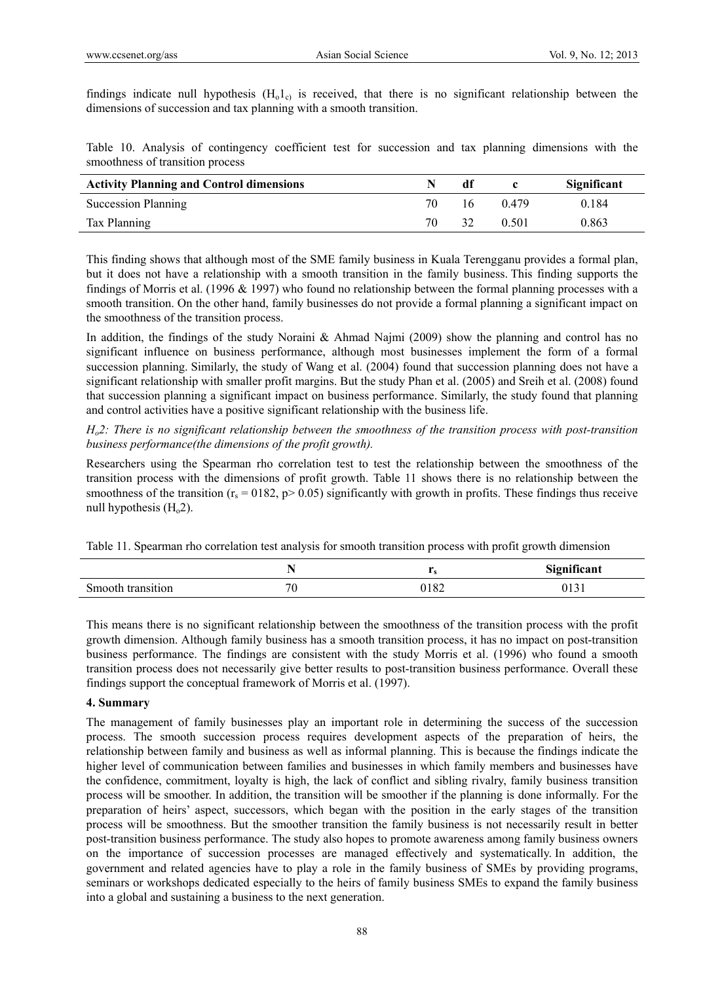findings indicate null hypothesis  $(H_0 1_c)$  is received, that there is no significant relationship between the dimensions of succession and tax planning with a smooth transition.

Table 10. Analysis of contingency coefficient test for succession and tax planning dimensions with the smoothness of transition process

| <b>Activity Planning and Control dimensions</b> |     | df |       | Significant |
|-------------------------------------------------|-----|----|-------|-------------|
| <b>Succession Planning</b>                      | 70. | 16 | 0.479 | 0.184       |
| Tax Planning                                    | 70  | 32 | 0.501 | 0.863       |

This finding shows that although most of the SME family business in Kuala Terengganu provides a formal plan, but it does not have a relationship with a smooth transition in the family business. This finding supports the findings of Morris et al. (1996 & 1997) who found no relationship between the formal planning processes with a smooth transition. On the other hand, family businesses do not provide a formal planning a significant impact on the smoothness of the transition process.

In addition, the findings of the study Noraini & Ahmad Najmi (2009) show the planning and control has no significant influence on business performance, although most businesses implement the form of a formal succession planning. Similarly, the study of Wang et al. (2004) found that succession planning does not have a significant relationship with smaller profit margins. But the study Phan et al. (2005) and Sreih et al. (2008) found that succession planning a significant impact on business performance. Similarly, the study found that planning and control activities have a positive significant relationship with the business life.

*Ho2: There is no significant relationship between the smoothness of the transition process with post-transition business performance(the dimensions of the profit growth).* 

Researchers using the Spearman rho correlation test to test the relationship between the smoothness of the transition process with the dimensions of profit growth. Table 11 shows there is no relationship between the smoothness of the transition  $(r_s = 0182, p > 0.05)$  significantly with growth in profits. These findings thus receive null hypothesis  $(H<sub>o</sub>2)$ .

Table 11. Spearman rho correlation test analysis for smooth transition process with profit growth dimension

|                   | $\ddot{\phantom{1}}$ | . .  | Significant  |
|-------------------|----------------------|------|--------------|
| Smooth transition | U                    | 0182 | 01<br>$\sim$ |

This means there is no significant relationship between the smoothness of the transition process with the profit growth dimension. Although family business has a smooth transition process, it has no impact on post-transition business performance. The findings are consistent with the study Morris et al. (1996) who found a smooth transition process does not necessarily give better results to post-transition business performance. Overall these findings support the conceptual framework of Morris et al. (1997).

## **4. Summary**

The management of family businesses play an important role in determining the success of the succession process. The smooth succession process requires development aspects of the preparation of heirs, the relationship between family and business as well as informal planning. This is because the findings indicate the higher level of communication between families and businesses in which family members and businesses have the confidence, commitment, loyalty is high, the lack of conflict and sibling rivalry, family business transition process will be smoother. In addition, the transition will be smoother if the planning is done informally. For the preparation of heirs' aspect, successors, which began with the position in the early stages of the transition process will be smoothness. But the smoother transition the family business is not necessarily result in better post-transition business performance. The study also hopes to promote awareness among family business owners on the importance of succession processes are managed effectively and systematically. In addition, the government and related agencies have to play a role in the family business of SMEs by providing programs, seminars or workshops dedicated especially to the heirs of family business SMEs to expand the family business into a global and sustaining a business to the next generation.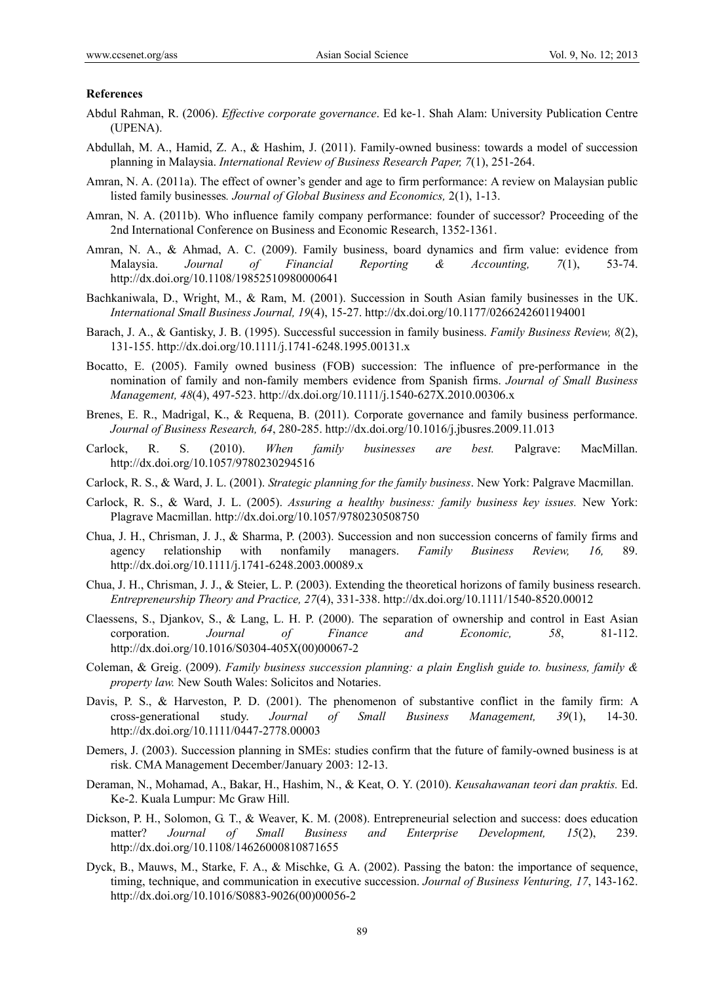#### **References**

- Abdul Rahman, R. (2006). *Effective corporate governance*. Ed ke-1. Shah Alam: University Publication Centre (UPENA).
- Abdullah, M. A., Hamid, Z. A., & Hashim, J. (2011). Family-owned business: towards a model of succession planning in Malaysia. *International Review of Business Research Paper, 7*(1), 251-264.
- Amran, N. A. (2011a). The effect of owner's gender and age to firm performance: A review on Malaysian public listed family businesses*. Journal of Global Business and Economics,* 2(1), 1-13.
- Amran, N. A. (2011b). Who influence family company performance: founder of successor? Proceeding of the 2nd International Conference on Business and Economic Research, 1352-1361.
- Amran, N. A., & Ahmad, A. C. (2009). Family business, board dynamics and firm value: evidence from Malaysia. *Journal of Financial Reporting & Accounting, 7*(1), 53-74. http://dx.doi.org/10.1108/19852510980000641
- Bachkaniwala, D., Wright, M., & Ram, M. (2001). Succession in South Asian family businesses in the UK. *International Small Business Journal, 19*(4), 15-27. http://dx.doi.org/10.1177/0266242601194001
- Barach, J. A., & Gantisky, J. B. (1995). Successful succession in family business. *Family Business Review, 8*(2), 131-155. http://dx.doi.org/10.1111/j.1741-6248.1995.00131.x
- Bocatto, E. (2005). Family owned business (FOB) succession: The influence of pre-performance in the nomination of family and non-family members evidence from Spanish firms. *Journal of Small Business Management, 48*(4), 497-523. http://dx.doi.org/10.1111/j.1540-627X.2010.00306.x
- Brenes, E. R., Madrigal, K., & Requena, B. (2011). Corporate governance and family business performance. *Journal of Business Research, 64*, 280-285. http://dx.doi.org/10.1016/j.jbusres.2009.11.013
- Carlock, R. S. (2010). *When family businesses are best.* Palgrave: MacMillan. http://dx.doi.org/10.1057/9780230294516
- Carlock, R. S., & Ward, J. L. (2001). *Strategic planning for the family business*. New York: Palgrave Macmillan.
- Carlock, R. S., & Ward, J. L. (2005). *Assuring a healthy business: family business key issues.* New York: Plagrave Macmillan. http://dx.doi.org/10.1057/9780230508750
- Chua, J. H., Chrisman, J. J., & Sharma, P. (2003). Succession and non succession concerns of family firms and agency relationship with nonfamily managers. *Family Business Review, 16,* 89. http://dx.doi.org/10.1111/j.1741-6248.2003.00089.x
- Chua, J. H., Chrisman, J. J., & Steier, L. P. (2003). Extending the theoretical horizons of family business research. *Entrepreneurship Theory and Practice, 27*(4), 331-338. http://dx.doi.org/10.1111/1540-8520.00012
- Claessens, S., Djankov, S., & Lang, L. H. P. (2000). The separation of ownership and control in East Asian corporation. *Journal of Finance and Economic, 58*, 81-112. http://dx.doi.org/10.1016/S0304-405X(00)00067-2
- Coleman, & Greig. (2009). *Family business succession planning: a plain English guide to. business, family & property law.* New South Wales: Solicitos and Notaries.
- Davis, P. S., & Harveston, P. D. (2001). The phenomenon of substantive conflict in the family firm: A cross-generational study. *Journal of Small Business Management, 39*(1), 14-30. http://dx.doi.org/10.1111/0447-2778.00003
- Demers, J. (2003). Succession planning in SMEs: studies confirm that the future of family-owned business is at risk. CMA Management December/January 2003: 12-13.
- Deraman, N., Mohamad, A., Bakar, H., Hashim, N., & Keat, O. Y. (2010). *Keusahawanan teori dan praktis.* Ed. Ke-2. Kuala Lumpur: Mc Graw Hill.
- Dickson, P. H., Solomon, G. T., & Weaver, K. M. (2008). Entrepreneurial selection and success: does education matter? *Journal of Small Business and Enterprise Development, 15*(2), 239. http://dx.doi.org/10.1108/14626000810871655
- Dyck, B., Mauws, M., Starke, F. A., & Mischke, G. A. (2002). Passing the baton: the importance of sequence, timing, technique, and communication in executive succession. *Journal of Business Venturing, 17*, 143-162. http://dx.doi.org/10.1016/S0883-9026(00)00056-2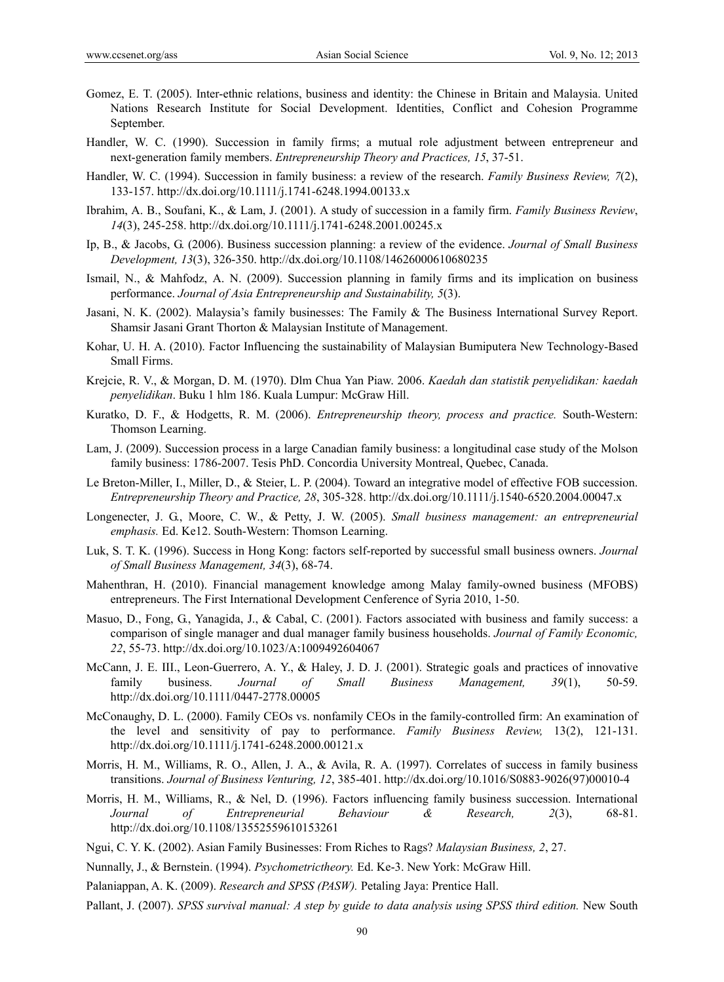- Gomez, E. T. (2005). Inter-ethnic relations, business and identity: the Chinese in Britain and Malaysia. United Nations Research Institute for Social Development. Identities, Conflict and Cohesion Programme September.
- Handler, W. C. (1990). Succession in family firms; a mutual role adjustment between entrepreneur and next-generation family members. *Entrepreneurship Theory and Practices, 15*, 37-51.
- Handler, W. C. (1994). Succession in family business: a review of the research. *Family Business Review, 7*(2), 133-157. http://dx.doi.org/10.1111/j.1741-6248.1994.00133.x
- Ibrahim, A. B., Soufani, K., & Lam, J. (2001). A study of succession in a family firm. *Family Business Review*, *14*(3), 245-258. http://dx.doi.org/10.1111/j.1741-6248.2001.00245.x
- Ip, B., & Jacobs, G. (2006). Business succession planning: a review of the evidence. *Journal of Small Business Development, 13*(3), 326-350. http://dx.doi.org/10.1108/14626000610680235
- Ismail, N., & Mahfodz, A. N. (2009). Succession planning in family firms and its implication on business performance. *Journal of Asia Entrepreneurship and Sustainability, 5*(3).
- Jasani, N. K. (2002). Malaysia's family businesses: The Family & The Business International Survey Report. Shamsir Jasani Grant Thorton & Malaysian Institute of Management.
- Kohar, U. H. A. (2010). Factor Influencing the sustainability of Malaysian Bumiputera New Technology-Based Small Firms.
- Krejcie, R. V., & Morgan, D. M. (1970). Dlm Chua Yan Piaw. 2006. *Kaedah dan statistik penyelidikan: kaedah penyelidikan*. Buku 1 hlm 186. Kuala Lumpur: McGraw Hill.
- Kuratko, D. F., & Hodgetts, R. M. (2006). *Entrepreneurship theory, process and practice.* South-Western: Thomson Learning.
- Lam, J. (2009). Succession process in a large Canadian family business: a longitudinal case study of the Molson family business: 1786-2007. Tesis PhD. Concordia University Montreal, Quebec, Canada.
- Le Breton-Miller, I., Miller, D., & Steier, L. P. (2004). Toward an integrative model of effective FOB succession. *Entrepreneurship Theory and Practice, 28*, 305-328. http://dx.doi.org/10.1111/j.1540-6520.2004.00047.x
- Longenecter, J. G., Moore, C. W., & Petty, J. W. (2005). *Small business management: an entrepreneurial emphasis.* Ed. Ke12. South-Western: Thomson Learning.
- Luk, S. T. K. (1996). Success in Hong Kong: factors self-reported by successful small business owners. *Journal of Small Business Management, 34*(3), 68-74.
- Mahenthran, H. (2010). Financial management knowledge among Malay family-owned business (MFOBS) entrepreneurs. The First International Development Cenference of Syria 2010, 1-50.
- Masuo, D., Fong, G., Yanagida, J., & Cabal, C. (2001). Factors associated with business and family success: a comparison of single manager and dual manager family business households. *Journal of Family Economic, 22*, 55-73. http://dx.doi.org/10.1023/A:1009492604067
- McCann, J. E. III., Leon-Guerrero, A. Y., & Haley, J. D. J. (2001). Strategic goals and practices of innovative family business. *Journal of Small Business Management, 39*(1), 50-59. http://dx.doi.org/10.1111/0447-2778.00005
- McConaughy, D. L. (2000). Family CEOs vs. nonfamily CEOs in the family-controlled firm: An examination of the level and sensitivity of pay to performance. *Family Business Review,* 13(2), 121-131. http://dx.doi.org/10.1111/j.1741-6248.2000.00121.x
- Morris, H. M., Williams, R. O., Allen, J. A., & Avila, R. A. (1997). Correlates of success in family business transitions. *Journal of Business Venturing, 12*, 385-401. http://dx.doi.org/10.1016/S0883-9026(97)00010-4
- Morris, H. M., Williams, R., & Nel, D. (1996). Factors influencing family business succession. International *Journal of Entrepreneurial Behaviour & Research, 2*(3), 68-81. http://dx.doi.org/10.1108/13552559610153261
- Ngui, C. Y. K. (2002). Asian Family Businesses: From Riches to Rags? *Malaysian Business, 2*, 27.
- Nunnally, J., & Bernstein. (1994). *Psychometrictheory.* Ed. Ke-3. New York: McGraw Hill.
- Palaniappan, A. K. (2009). *Research and SPSS (PASW).* Petaling Jaya: Prentice Hall.
- Pallant, J. (2007). *SPSS survival manual: A step by guide to data analysis using SPSS third edition.* New South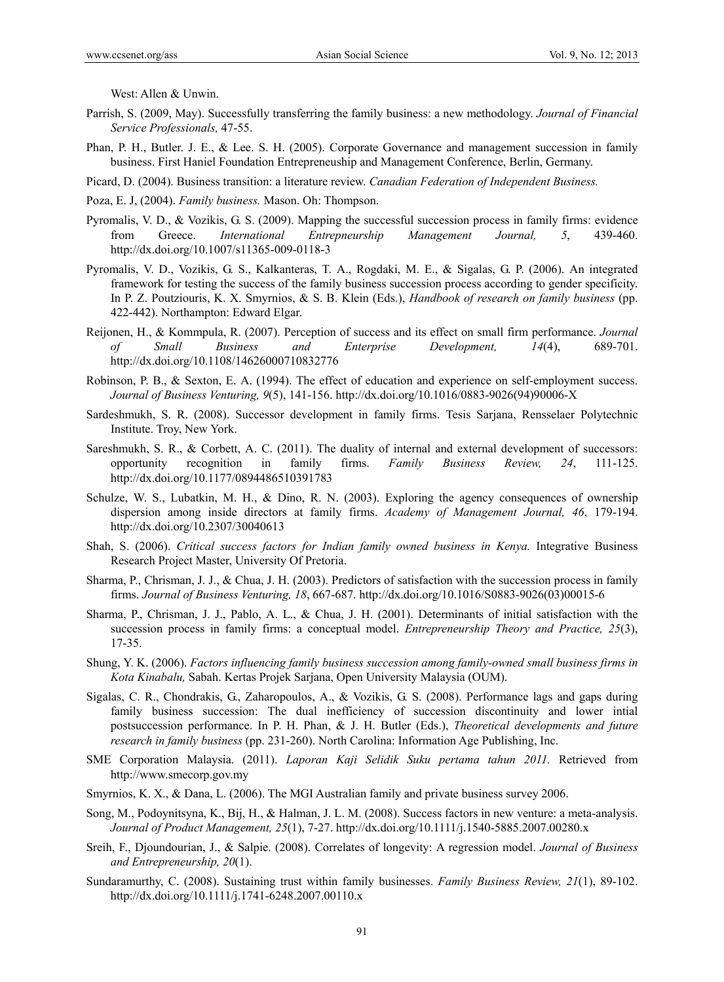West: Allen & Unwin.

- Parrish, S. (2009, May). Successfully transferring the family business: a new methodology. *Journal of Financial Service Professionals,* 47-55.
- Phan, P. H., Butler. J. E., & Lee. S. H. (2005). Corporate Governance and management succession in family business. First Haniel Foundation Entrepreneuship and Management Conference, Berlin, Germany.
- Picard, D. (2004). Business transition: a literature review. *Canadian Federation of Independent Business.*
- Poza, E. J, (2004). *Family business.* Mason. Oh: Thompson.
- Pyromalis, V. D., & Vozikis, G. S. (2009). Mapping the successful succession process in family firms: evidence from Greece. *International Entrepneurship Management Journal, 5*, 439-460. http://dx.doi.org/10.1007/s11365-009-0118-3
- Pyromalis, V. D., Vozikis, G. S., Kalkanteras, T. A., Rogdaki, M. E., & Sigalas, G. P. (2006). An integrated framework for testing the success of the family business succession process according to gender specificity. In P. Z. Poutziouris, K. X. Smyrnios, & S. B. Klein (Eds.), *Handbook of research on family business* (pp. 422-442). Northampton: Edward Elgar.
- Reijonen, H., & Kommpula, R. (2007). Perception of success and its effect on small firm performance. *Journal of Small Business and Enterprise Development, 14*(4), 689-701. http://dx.doi.org/10.1108/14626000710832776
- Robinson, P. B., & Sexton, E. A. (1994). The effect of education and experience on self-employment success. *Journal of Business Venturing, 9*(5), 141-156. http://dx.doi.org/10.1016/0883-9026(94)90006-X
- Sardeshmukh, S. R. (2008). Successor development in family firms. Tesis Sarjana, Rensselaer Polytechnic Institute. Troy, New York.
- Sareshmukh, S. R., & Corbett, A. C. (2011). The duality of internal and external development of successors: opportunity recognition in family firms. *Family Business Review, 24*, 111-125. http://dx.doi.org/10.1177/0894486510391783
- Schulze, W. S., Lubatkin, M. H., & Dino, R. N. (2003). Exploring the agency consequences of ownership dispersion among inside directors at family firms. *Academy of Management Journal, 46*, 179-194. http://dx.doi.org/10.2307/30040613
- Shah, S. (2006). *Critical success factors for Indian family owned business in Kenya.* Integrative Business Research Project Master, University Of Pretoria.
- Sharma, P., Chrisman, J. J., & Chua, J. H. (2003). Predictors of satisfaction with the succession process in family firms. *Journal of Business Venturing, 18*, 667-687. http://dx.doi.org/10.1016/S0883-9026(03)00015-6
- Sharma, P., Chrisman, J. J., Pablo, A. L., & Chua, J. H. (2001). Determinants of initial satisfaction with the succession process in family firms: a conceptual model. *Entrepreneurship Theory and Practice, 25*(3), 17-35.
- Shung, Y. K. (2006). *Factors influencing family business succession among family-owned small business firms in Kota Kinabalu,* Sabah. Kertas Projek Sarjana, Open University Malaysia (OUM).
- Sigalas, C. R., Chondrakis, G., Zaharopoulos, A., & Vozikis, G. S. (2008). Performance lags and gaps during family business succession: The dual inefficiency of succession discontinuity and lower intial postsuccession performance. In P. H. Phan, & J. H. Butler (Eds.), *Theoretical developments and future research in family business* (pp. 231-260). North Carolina: Information Age Publishing, Inc.
- SME Corporation Malaysia. (2011). *Laporan Kaji Selidik Suku pertama tahun 2011.* Retrieved from http://www.smecorp.gov.my
- Smyrnios, K. X., & Dana, L. (2006). The MGI Australian family and private business survey 2006.
- Song, M., Podoynitsyna, K., Bij, H., & Halman, J. L. M. (2008). Success factors in new venture: a meta-analysis. *Journal of Product Management, 25*(1), 7-27. http://dx.doi.org/10.1111/j.1540-5885.2007.00280.x
- Sreih, F., Djoundourian, J., & Salpie. (2008). Correlates of longevity: A regression model. *Journal of Business and Entrepreneurship, 20*(1).
- Sundaramurthy, C. (2008). Sustaining trust within family businesses. *Family Business Review, 21*(1), 89-102. http://dx.doi.org/10.1111/j.1741-6248.2007.00110.x